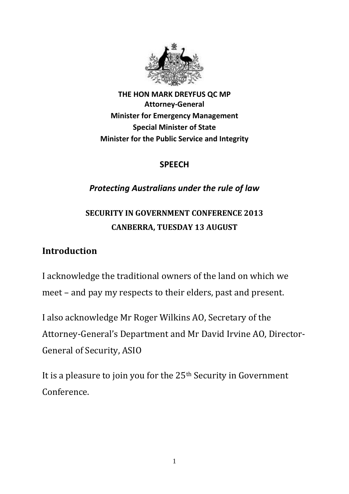

**THE HON MARK DREYFUS QC MP Attorney-General Minister for Emergency Management Special Minister of State Minister for the Public Service and Integrity**

#### **SPEECH**

### *Protecting Australians under the rule of law*

# **SECURITY IN GOVERNMENT CONFERENCE 2013 CANBERRA, TUESDAY 13 AUGUST**

### **Introduction**

I acknowledge the traditional owners of the land on which we meet – and pay my respects to their elders, past and present.

I also acknowledge Mr Roger Wilkins AO, Secretary of the Attorney-General's Department and Mr David Irvine AO, Director-General of Security, ASIO

It is a pleasure to join you for the 25th Security in Government Conference.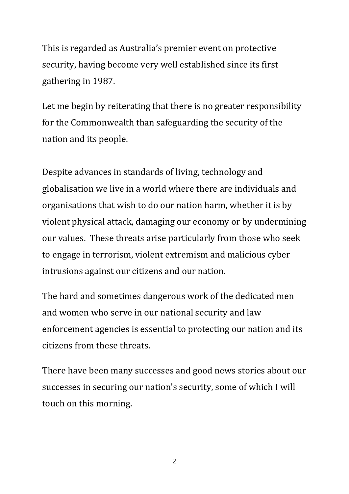This is regarded as Australia's premier event on protective security, having become very well established since its first gathering in 1987.

Let me begin by reiterating that there is no greater responsibility for the Commonwealth than safeguarding the security of the nation and its people.

Despite advances in standards of living, technology and globalisation we live in a world where there are individuals and organisations that wish to do our nation harm, whether it is by violent physical attack, damaging our economy or by undermining our values. These threats arise particularly from those who seek to engage in terrorism, violent extremism and malicious cyber intrusions against our citizens and our nation.

The hard and sometimes dangerous work of the dedicated men and women who serve in our national security and law enforcement agencies is essential to protecting our nation and its citizens from these threats.

There have been many successes and good news stories about our successes in securing our nation's security, some of which I will touch on this morning.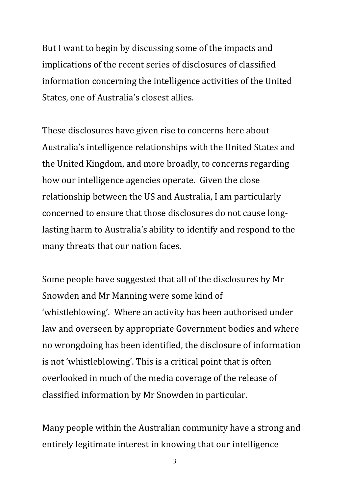But I want to begin by discussing some of the impacts and implications of the recent series of disclosures of classified information concerning the intelligence activities of the United States, one of Australia's closest allies.

These disclosures have given rise to concerns here about Australia's intelligence relationships with the United States and the United Kingdom, and more broadly, to concerns regarding how our intelligence agencies operate. Given the close relationship between the US and Australia, I am particularly concerned to ensure that those disclosures do not cause longlasting harm to Australia's ability to identify and respond to the many threats that our nation faces.

Some people have suggested that all of the disclosures by Mr Snowden and Mr Manning were some kind of 'whistleblowing'. Where an activity has been authorised under law and overseen by appropriate Government bodies and where no wrongdoing has been identified, the disclosure of information is not 'whistleblowing'. This is a critical point that is often overlooked in much of the media coverage of the release of classified information by Mr Snowden in particular.

Many people within the Australian community have a strong and entirely legitimate interest in knowing that our intelligence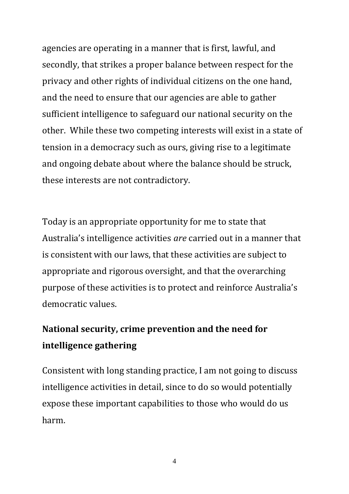agencies are operating in a manner that is first, lawful, and secondly, that strikes a proper balance between respect for the privacy and other rights of individual citizens on the one hand, and the need to ensure that our agencies are able to gather sufficient intelligence to safeguard our national security on the other. While these two competing interests will exist in a state of tension in a democracy such as ours, giving rise to a legitimate and ongoing debate about where the balance should be struck, these interests are not contradictory.

Today is an appropriate opportunity for me to state that Australia's intelligence activities *are* carried out in a manner that is consistent with our laws, that these activities are subject to appropriate and rigorous oversight, and that the overarching purpose of these activities is to protect and reinforce Australia's democratic values.

# **National security, crime prevention and the need for intelligence gathering**

Consistent with long standing practice, I am not going to discuss intelligence activities in detail, since to do so would potentially expose these important capabilities to those who would do us harm.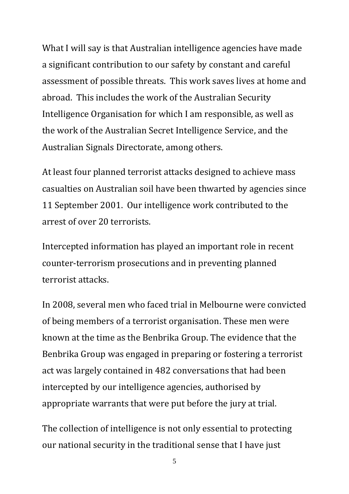What I will say is that Australian intelligence agencies have made a significant contribution to our safety by constant and careful assessment of possible threats. This work saves lives at home and abroad. This includes the work of the Australian Security Intelligence Organisation for which I am responsible, as well as the work of the Australian Secret Intelligence Service, and the Australian Signals Directorate, among others.

At least four planned terrorist attacks designed to achieve mass casualties on Australian soil have been thwarted by agencies since 11 September 2001. Our intelligence work contributed to the arrest of over 20 terrorists.

Intercepted information has played an important role in recent counter-terrorism prosecutions and in preventing planned terrorist attacks.

In 2008, several men who faced trial in Melbourne were convicted of being members of a terrorist organisation. These men were known at the time as the Benbrika Group. The evidence that the Benbrika Group was engaged in preparing or fostering a terrorist act was largely contained in 482 conversations that had been intercepted by our intelligence agencies, authorised by appropriate warrants that were put before the jury at trial.

The collection of intelligence is not only essential to protecting our national security in the traditional sense that I have just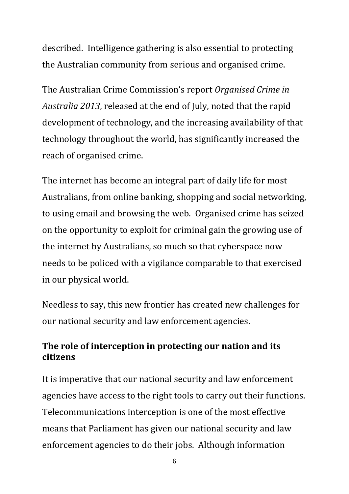described. Intelligence gathering is also essential to protecting the Australian community from serious and organised crime.

The Australian Crime Commission's report *Organised Crime in Australia 2013*, released at the end of July, noted that the rapid development of technology, and the increasing availability of that technology throughout the world, has significantly increased the reach of organised crime.

The internet has become an integral part of daily life for most Australians, from online banking, shopping and social networking, to using email and browsing the web. Organised crime has seized on the opportunity to exploit for criminal gain the growing use of the internet by Australians, so much so that cyberspace now needs to be policed with a vigilance comparable to that exercised in our physical world.

Needless to say, this new frontier has created new challenges for our national security and law enforcement agencies.

### **The role of interception in protecting our nation and its citizens**

It is imperative that our national security and law enforcement agencies have access to the right tools to carry out their functions. Telecommunications interception is one of the most effective means that Parliament has given our national security and law enforcement agencies to do their jobs. Although information

<sup>6</sup>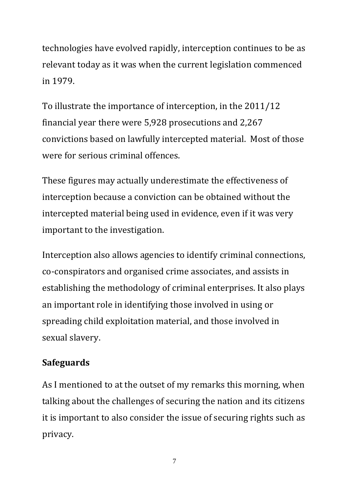technologies have evolved rapidly, interception continues to be as relevant today as it was when the current legislation commenced in 1979.

To illustrate the importance of interception, in the 2011/12 financial year there were 5,928 prosecutions and 2,267 convictions based on lawfully intercepted material. Most of those were for serious criminal offences.

These figures may actually underestimate the effectiveness of interception because a conviction can be obtained without the intercepted material being used in evidence, even if it was very important to the investigation.

Interception also allows agencies to identify criminal connections, co-conspirators and organised crime associates, and assists in establishing the methodology of criminal enterprises. It also plays an important role in identifying those involved in using or spreading child exploitation material, and those involved in sexual slavery.

### **Safeguards**

As I mentioned to at the outset of my remarks this morning, when talking about the challenges of securing the nation and its citizens it is important to also consider the issue of securing rights such as privacy.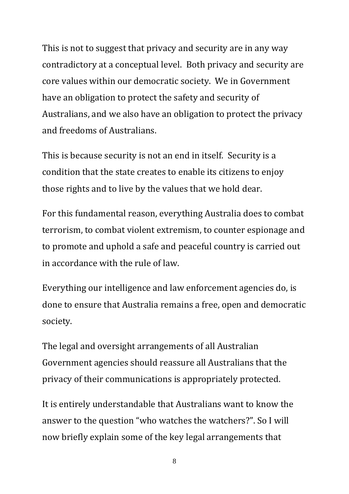This is not to suggest that privacy and security are in any way contradictory at a conceptual level. Both privacy and security are core values within our democratic society. We in Government have an obligation to protect the safety and security of Australians, and we also have an obligation to protect the privacy and freedoms of Australians.

This is because security is not an end in itself. Security is a condition that the state creates to enable its citizens to enjoy those rights and to live by the values that we hold dear.

For this fundamental reason, everything Australia does to combat terrorism, to combat violent extremism, to counter espionage and to promote and uphold a safe and peaceful country is carried out in accordance with the rule of law.

Everything our intelligence and law enforcement agencies do, is done to ensure that Australia remains a free, open and democratic society.

The legal and oversight arrangements of all Australian Government agencies should reassure all Australians that the privacy of their communications is appropriately protected.

It is entirely understandable that Australians want to know the answer to the question "who watches the watchers?". So I will now briefly explain some of the key legal arrangements that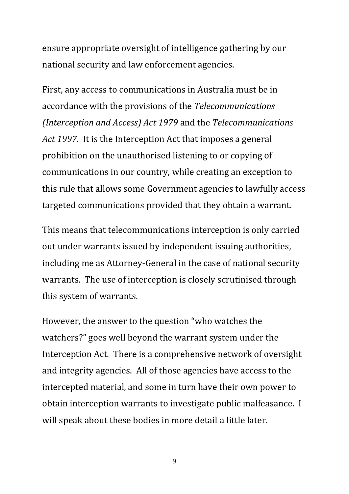ensure appropriate oversight of intelligence gathering by our national security and law enforcement agencies.

First, any access to communications in Australia must be in accordance with the provisions of the *Telecommunications (Interception and Access) Act 1979* and the *Telecommunications Act 1997*. It is the Interception Act that imposes a general prohibition on the unauthorised listening to or copying of communications in our country, while creating an exception to this rule that allows some Government agencies to lawfully access targeted communications provided that they obtain a warrant.

This means that telecommunications interception is only carried out under warrants issued by independent issuing authorities, including me as Attorney-General in the case of national security warrants. The use of interception is closely scrutinised through this system of warrants.

However, the answer to the question "who watches the watchers?" goes well beyond the warrant system under the Interception Act. There is a comprehensive network of oversight and integrity agencies. All of those agencies have access to the intercepted material, and some in turn have their own power to obtain interception warrants to investigate public malfeasance. I will speak about these bodies in more detail a little later.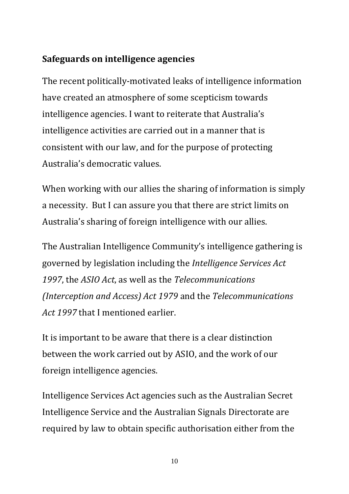### **Safeguards on intelligence agencies**

The recent politically-motivated leaks of intelligence information have created an atmosphere of some scepticism towards intelligence agencies. I want to reiterate that Australia's intelligence activities are carried out in a manner that is consistent with our law, and for the purpose of protecting Australia's democratic values.

When working with our allies the sharing of information is simply a necessity. But I can assure you that there are strict limits on Australia's sharing of foreign intelligence with our allies.

The Australian Intelligence Community's intelligence gathering is governed by legislation including the *Intelligence Services Act 1997*, the *ASIO Act*, as well as the *Telecommunications (Interception and Access) Act 1979* and the *Telecommunications Act 1997* that I mentioned earlier.

It is important to be aware that there is a clear distinction between the work carried out by ASIO, and the work of our foreign intelligence agencies.

Intelligence Services Act agencies such as the Australian Secret Intelligence Service and the Australian Signals Directorate are required by law to obtain specific authorisation either from the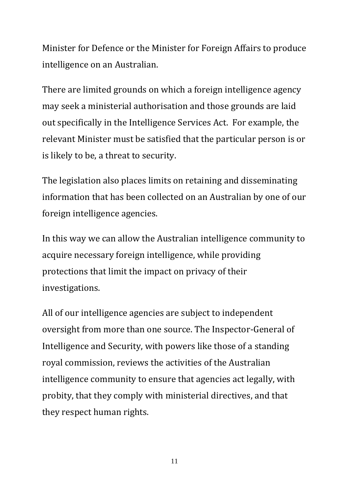Minister for Defence or the Minister for Foreign Affairs to produce intelligence on an Australian.

There are limited grounds on which a foreign intelligence agency may seek a ministerial authorisation and those grounds are laid out specifically in the Intelligence Services Act. For example, the relevant Minister must be satisfied that the particular person is or is likely to be, a threat to security.

The legislation also places limits on retaining and disseminating information that has been collected on an Australian by one of our foreign intelligence agencies.

In this way we can allow the Australian intelligence community to acquire necessary foreign intelligence, while providing protections that limit the impact on privacy of their investigations.

All of our intelligence agencies are subject to independent oversight from more than one source. The Inspector-General of Intelligence and Security, with powers like those of a standing royal commission, reviews the activities of the Australian intelligence community to ensure that agencies act legally, with probity, that they comply with ministerial directives, and that they respect human rights.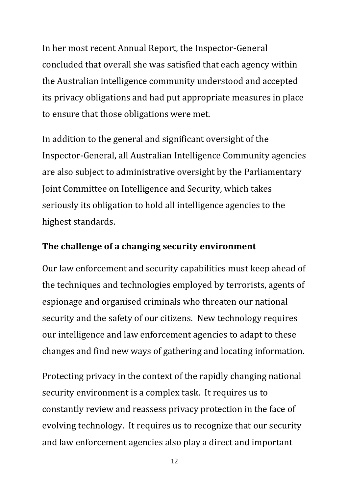In her most recent Annual Report, the Inspector-General concluded that overall she was satisfied that each agency within the Australian intelligence community understood and accepted its privacy obligations and had put appropriate measures in place to ensure that those obligations were met.

In addition to the general and significant oversight of the Inspector-General, all Australian Intelligence Community agencies are also subject to administrative oversight by the [Parliamentary](http://www.aph.gov.au/Parliamentary_Business/Committees/House_of_Representatives_Committees?url=pjcis/index.htm)  [Joint Committee on Intelligence and Security,](http://www.aph.gov.au/Parliamentary_Business/Committees/House_of_Representatives_Committees?url=pjcis/index.htm) which takes seriously its obligation to hold all intelligence agencies to the highest standards.

#### **The challenge of a changing security environment**

Our law enforcement and security capabilities must keep ahead of the techniques and technologies employed by terrorists, agents of espionage and organised criminals who threaten our national security and the safety of our citizens. New technology requires our intelligence and law enforcement agencies to adapt to these changes and find new ways of gathering and locating information.

Protecting privacy in the context of the rapidly changing national security environment is a complex task. It requires us to constantly review and reassess privacy protection in the face of evolving technology. It requires us to recognize that our security and law enforcement agencies also play a direct and important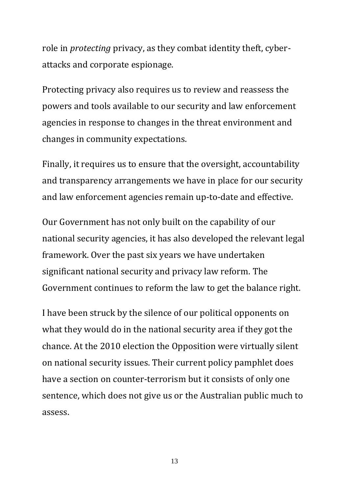role in *protecting* privacy, as they combat identity theft, cyberattacks and corporate espionage.

Protecting privacy also requires us to review and reassess the powers and tools available to our security and law enforcement agencies in response to changes in the threat environment and changes in community expectations.

Finally, it requires us to ensure that the oversight, accountability and transparency arrangements we have in place for our security and law enforcement agencies remain up-to-date and effective.

Our Government has not only built on the capability of our national security agencies, it has also developed the relevant legal framework. Over the past six years we have undertaken significant national security and privacy law reform. The Government continues to reform the law to get the balance right.

I have been struck by the silence of our political opponents on what they would do in the national security area if they got the chance. At the 2010 election the Opposition were virtually silent on national security issues. Their current policy pamphlet does have a section on counter-terrorism but it consists of only one sentence, which does not give us or the Australian public much to assess.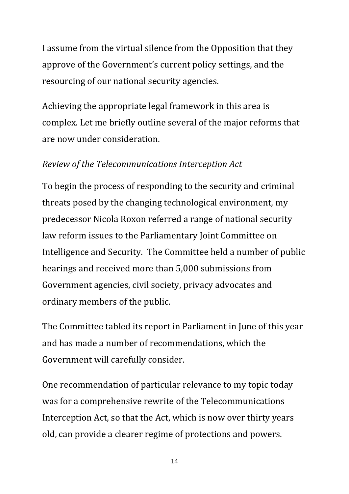I assume from the virtual silence from the Opposition that they approve of the Government's current policy settings, and the resourcing of our national security agencies.

Achieving the appropriate legal framework in this area is complex. Let me briefly outline several of the major reforms that are now under consideration.

#### *Review of the Telecommunications Interception Act*

To begin the process of responding to the security and criminal threats posed by the changing technological environment, my predecessor Nicola Roxon referred a range of national security law reform issues to the Parliamentary Joint Committee on Intelligence and Security. The Committee held a number of public hearings and received more than 5,000 submissions from Government agencies, civil society, privacy advocates and ordinary members of the public.

The Committee tabled its report in Parliament in June of this year and has made a number of recommendations, which the Government will carefully consider.

One recommendation of particular relevance to my topic today was for a comprehensive rewrite of the Telecommunications Interception Act, so that the Act, which is now over thirty years old, can provide a clearer regime of protections and powers.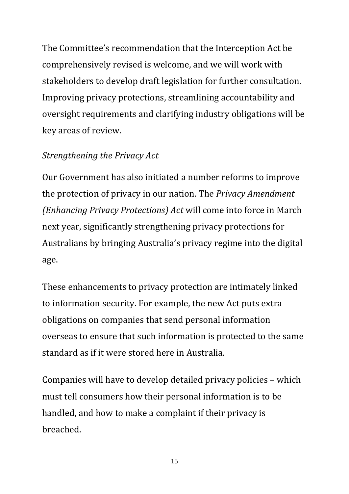The Committee's recommendation that the Interception Act be comprehensively revised is welcome, and we will work with stakeholders to develop draft legislation for further consultation. Improving privacy protections, streamlining accountability and oversight requirements and clarifying industry obligations will be key areas of review.

#### *Strengthening the Privacy Act*

Our Government has also initiated a number reforms to improve the protection of privacy in our nation. The *Privacy Amendment (Enhancing Privacy Protections) Act* will come into force in March next year, significantly strengthening privacy protections for Australians by bringing Australia's privacy regime into the digital age.

These enhancements to privacy protection are intimately linked to information security. For example, the new Act puts extra obligations on companies that send personal information overseas to ensure that such information is protected to the same standard as if it were stored here in Australia.

Companies will have to develop detailed privacy policies – which must tell consumers how their personal information is to be handled, and how to make a complaint if their privacy is breached.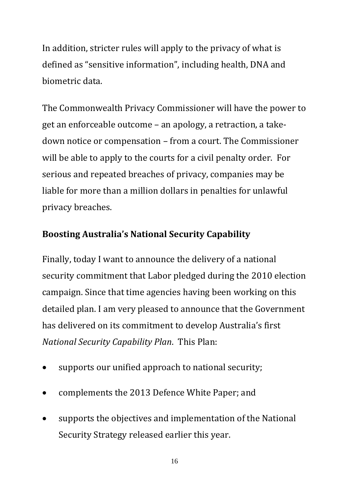In addition, stricter rules will apply to the privacy of what is defined as "sensitive information", including health, DNA and biometric data.

The Commonwealth Privacy Commissioner will have the power to get an enforceable outcome – an apology, a retraction, a takedown notice or compensation – from a court. The Commissioner will be able to apply to the courts for a civil penalty order. For serious and repeated breaches of privacy, companies may be liable for more than a million dollars in penalties for unlawful privacy breaches.

## **Boosting Australia's National Security Capability**

Finally, today I want to announce the delivery of a national security commitment that Labor pledged during the 2010 election campaign. Since that time agencies having been working on this detailed plan. I am very pleased to announce that the Government has delivered on its commitment to develop Australia's first *National Security Capability Plan*. This Plan:

- supports our unified approach to national security;
- complements the 2013 Defence White Paper; and
- supports the objectives and implementation of the National Security Strategy released earlier this year.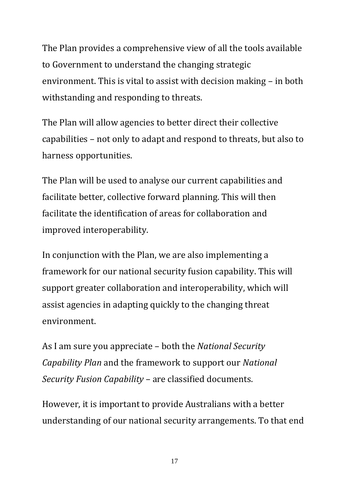The Plan provides a comprehensive view of all the tools available to Government to understand the changing strategic environment. This is vital to assist with decision making – in both withstanding and responding to threats.

The Plan will allow agencies to better direct their collective capabilities – not only to adapt and respond to threats, but also to harness opportunities.

The Plan will be used to analyse our current capabilities and facilitate better, collective forward planning. This will then facilitate the identification of areas for collaboration and improved interoperability.

In conjunction with the Plan, we are also implementing a framework for our national security fusion capability. This will support greater collaboration and interoperability, which will assist agencies in adapting quickly to the changing threat environment.

As I am sure you appreciate – both the *National Security Capability Plan* and the framework to support our *National Security Fusion Capability* – are classified documents.

However, it is important to provide Australians with a better understanding of our national security arrangements. To that end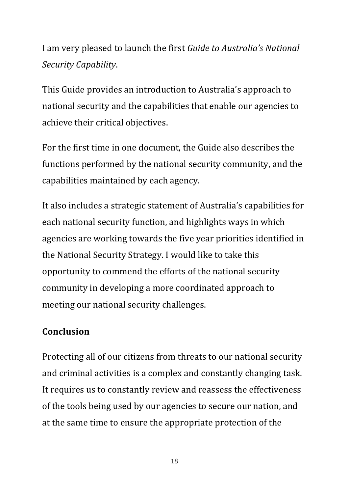I am very pleased to launch the first *Guide to Australia's National Security Capability*.

This Guide provides an introduction to Australia's approach to national security and the capabilities that enable our agencies to achieve their critical objectives.

For the first time in one document, the Guide also describes the functions performed by the national security community, and the capabilities maintained by each agency.

It also includes a strategic statement of Australia's capabilities for each national security function, and highlights ways in which agencies are working towards the five year priorities identified in the National Security Strategy. I would like to take this opportunity to commend the efforts of the national security community in developing a more coordinated approach to meeting our national security challenges.

### **Conclusion**

Protecting all of our citizens from threats to our national security and criminal activities is a complex and constantly changing task. It requires us to constantly review and reassess the effectiveness of the tools being used by our agencies to secure our nation, and at the same time to ensure the appropriate protection of the